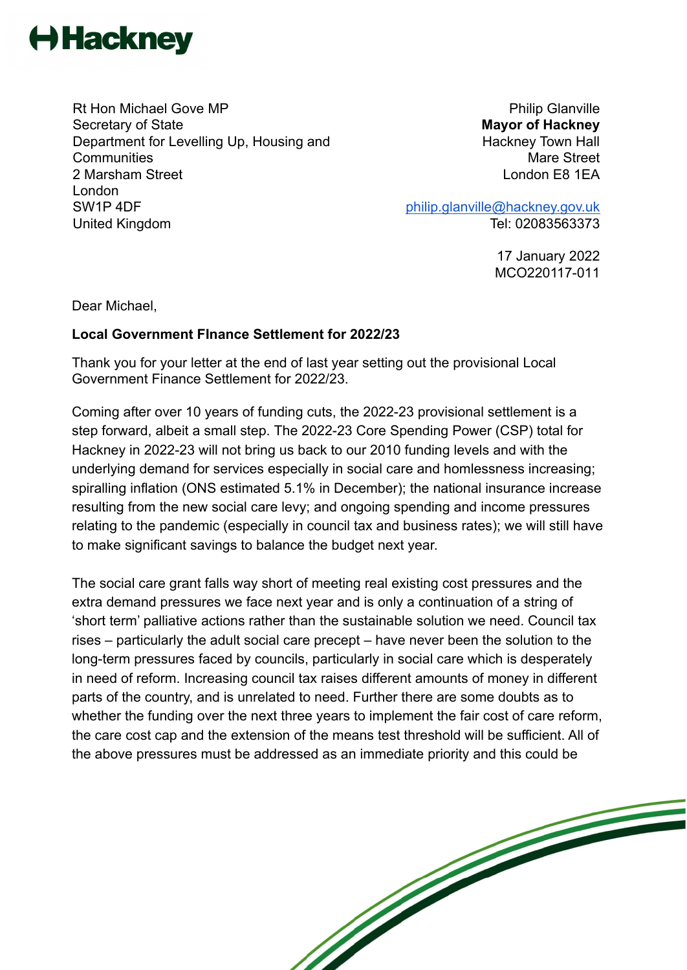

Rt Hon Michael Gove MP Secretary of State Department for Levelling Up, Housing and **Communities** 2 Marsham Street London SW1P 4DF United Kingdom

Philip Glanville **Mayor of Hackney** Hackney Town Hall Mare Street London E8 1EA

[philip.glanville@hackney.gov.uk](mailto:philip.glanville@hackney.gov.uk) Tel: 02083563373

> 17 January 2022 MCO220117-011

Dear Michael,

## **Local Government FInance Settlement for 2022/23**

Thank you for your letter at the end of last year setting out the provisional Local Government Finance Settlement for 2022/23.

Coming after over 10 years of funding cuts, the 2022-23 provisional settlement is a step forward, albeit a small step. The 2022-23 Core Spending Power (CSP) total for Hackney in 2022-23 will not bring us back to our 2010 funding levels and with the underlying demand for services especially in social care and homlessness increasing; spiralling inflation (ONS estimated 5.1% in December); the national insurance increase resulting from the new social care levy; and ongoing spending and income pressures relating to the pandemic (especially in council tax and business rates); we will still have to make significant savings to balance the budget next year.

The social care grant falls way short of meeting real existing cost pressures and the extra demand pressures we face next year and is only a continuation of a string of 'short term' palliative actions rather than the sustainable solution we need. Council tax rises – particularly the adult social care precept – have never been the solution to the long-term pressures faced by councils, particularly in social care which is desperately in need of reform. Increasing council tax raises different amounts of money in different parts of the country, and is unrelated to need. Further there are some doubts as to whether the funding over the next three years to implement the fair cost of care reform, the care cost cap and the extension of the means test threshold will be sufficient. All of the above pressures must be addressed as an immediate priority and this could be

al de la comparación de la comparación de la comparación de la comparación de la comparación de la comparación<br>Comparación de la comparación de la comparación de la comparación de la comparación de la comparación de la co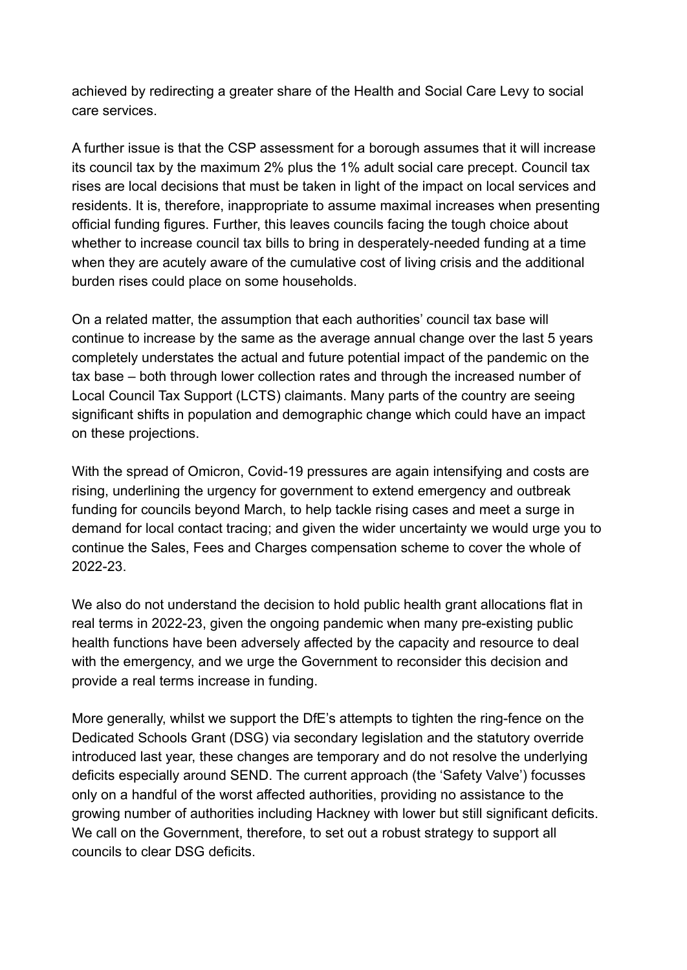achieved by redirecting a greater share of the Health and Social Care Levy to social care services.

A further issue is that the CSP assessment for a borough assumes that it will increase its council tax by the maximum 2% plus the 1% adult social care precept. Council tax rises are local decisions that must be taken in light of the impact on local services and residents. It is, therefore, inappropriate to assume maximal increases when presenting official funding figures. Further, this leaves councils facing the tough choice about whether to increase council tax bills to bring in desperately-needed funding at a time when they are acutely aware of the cumulative cost of living crisis and the additional burden rises could place on some households.

On a related matter, the assumption that each authorities' council tax base will continue to increase by the same as the average annual change over the last 5 years completely understates the actual and future potential impact of the pandemic on the tax base – both through lower collection rates and through the increased number of Local Council Tax Support (LCTS) claimants. Many parts of the country are seeing significant shifts in population and demographic change which could have an impact on these projections.

With the spread of Omicron, Covid-19 pressures are again intensifying and costs are rising, underlining the urgency for government to extend emergency and outbreak funding for councils beyond March, to help tackle rising cases and meet a surge in demand for local contact tracing; and given the wider uncertainty we would urge you to continue the Sales, Fees and Charges compensation scheme to cover the whole of 2022-23.

We also do not understand the decision to hold public health grant allocations flat in real terms in 2022-23, given the ongoing pandemic when many pre-existing public health functions have been adversely affected by the capacity and resource to deal with the emergency, and we urge the Government to reconsider this decision and provide a real terms increase in funding.

More generally, whilst we support the DfE's attempts to tighten the ring-fence on the Dedicated Schools Grant (DSG) via secondary legislation and the statutory override introduced last year, these changes are temporary and do not resolve the underlying deficits especially around SEND. The current approach (the 'Safety Valve') focusses only on a handful of the worst affected authorities, providing no assistance to the growing number of authorities including Hackney with lower but still significant deficits. We call on the Government, therefore, to set out a robust strategy to support all councils to clear DSG deficits.